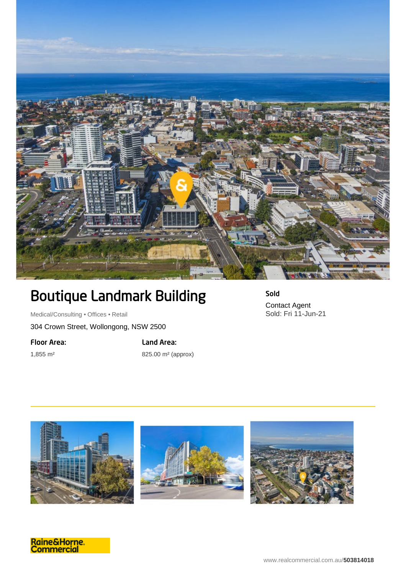

## Boutique Landmark Building

Medical/Consulting • Offices • Retail

304 Crown Street, Wollongong, NSW 2500

Floor Area:

1,855 m²

Land Area: 825.00 m² (approx) Sold Contact Agent Sold: Fri 11-Jun-21